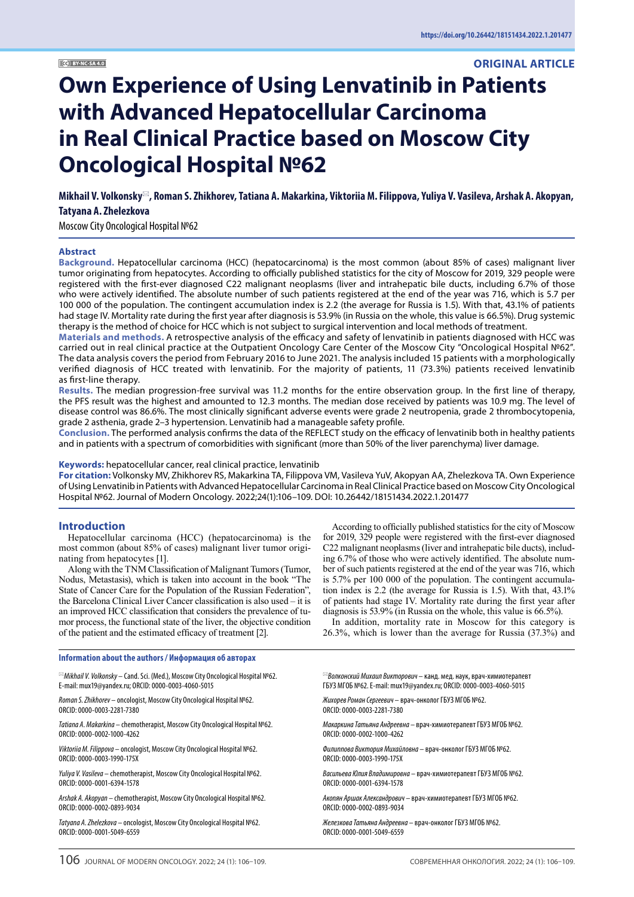# **ORIGINAL ARTICLE**

# **Own Experience of Using Lenvatinib in Patients with Advanced Hepatocellular Carcinoma in Real Clinical Practice based on Moscow City Oncological Hospital №62**

**Mikhail V. Volkonsky**\***, Roman S. Zhikhorev, Tatiana A. Makarkina, Viktoriia M. Filippova, Yuliya V. Vasileva, Arshak A. Akopyan, Tatyana A. Zhelezkova** 

Moscow City Oncological Hospital №62

#### **Abstract**

**Background.** Hepatocellular carcinoma (HCC) (hepatocarcinoma) is the most common (about 85% of cases) malignant liver tumor originating from hepatocytes. According to officially published statistics for the city of Moscow for 2019, 329 people were registered with the first-ever diagnosed C22 malignant neoplasms (liver and intrahepatic bile ducts, including 6.7% of those who were actively identified. The absolute number of such patients registered at the end of the year was 716, which is 5.7 per 100 000 of the population. The contingent accumulation index is 2.2 (the average for Russia is 1.5). With that, 43.1% of patients had stage IV. Mortality rate during the first year after diagnosis is 53.9% (in Russia on the whole, this value is 66.5%). Drug systemic therapy is the method of choice for HCC which is not subject to surgical intervention and local methods of treatment.

**Materials and methods.** A retrospective analysis of the efficacy and safety of lenvatinib in patients diagnosed with HCC was carried out in real clinical practice at the Outpatient Oncology Care Center of the Moscow City "Oncological Hospital №62". The data analysis covers the period from February 2016 to June 2021. The analysis included 15 patients with a morphologically verified diagnosis of HCC treated with lenvatinib. For the majority of patients, 11 (73.3%) patients received lenvatinib as first-line therapy.

**Results.** The median progression-free survival was 11.2 months for the entire observation group. In the first line of therapy, the PFS result was the highest and amounted to 12.3 months. The median dose received by patients was 10.9 mg. The level of disease control was 86.6%. The most clinically significant adverse events were grade 2 neutropenia, grade 2 thrombocytopenia, grade 2 asthenia, grade 2–3 hypertension. Lenvatinib had a manageable safety profile.

**Conclusion.** The performed analysis confirms the data of the REFLECT study on the efficacy of lenvatinib both in healthy patients and in patients with a spectrum of comorbidities with significant (more than 50% of the liver parenchyma) liver damage.

## **Keywords:** hepatocellular cancer, real clinical practice, lenvatinib

**For citation:** Volkonsky MV, Zhikhorev RS, Makarkina TA, Filippova VM, Vasileva YuV, Akopyan AA, Zhelezkova TA. Own Experience of Using Lenvatinib in Patients with Advanced Hepatocellular Carcinoma in Real Clinical Practice based on Moscow City Oncological Hospital №62. Journal of Modern Oncology. 2022;24(1):106–109. DOI: 10.26442/18151434.2022.1.201477

#### **Introduction**

Hepatocellular carcinoma (HCC) (hepatocarcinoma) is the most common (about 85% of cases) malignant liver tumor originating from hepatocytes [1].

Along with the TNM Classification of Malignant Tumors (Tumor, Nodus, Metastasis), which is taken into account in the book "The State of Cancer Care for the Population of the Russian Federation", the Barcelona Clinical Liver Cancer classification is also used – it is an improved HCC classification that considers the prevalence of tumor process, the functional state of the liver, the objective condition of the patient and the estimated efficacy of treatment [2].

According to officially published statistics for the city of Moscow for 2019, 329 people were registered with the first-ever diagnosed C22 malignant neoplasms (liver and intrahepatic bile ducts), including 6.7% of those who were actively identified. The absolute number of such patients registered at the end of the year was 716, which is 5.7% per 100 000 of the population. The contingent accumulation index is 2.2 (the average for Russia is 1.5). With that, 43.1% of patients had stage IV. Mortality rate during the first year after diagnosis is 53.9% (in Russia on the whole, this value is 66.5%).

In addition, mortality rate in Moscow for this category is 26.3%, which is lower than the average for Russia (37.3%) and

| $\mathbb{Z}$ Mikhail V. Volkonsky – Cand. Sci. (Med.), Moscow City Oncological Hospital Nº62. | $^{\bowtie}$ Волконский Михаил Викторович — канд. мед. наук, врач-химиотерапевт |  |
|-----------------------------------------------------------------------------------------------|---------------------------------------------------------------------------------|--|
| E-mail: mux19@yandex.ru; ORCID: 0000-0003-4060-5015                                           | ГБУЗ МГОБ №62. E-mail: mux19@yandex.ru; ORCID: 0000-0003-4060-5015              |  |
| Roman S. Zhikhorev - oncologist, Moscow City Oncological Hospital Nº62.                       | Жихорев Роман Сергеевич - врач-онколог ГБУЗ МГОБ №62.                           |  |
| ORCID: 0000-0003-2281-7380                                                                    | ORCID: 0000-0003-2281-7380                                                      |  |
| Tatiana A. Makarkina - chemotherapist, Moscow City Oncological Hospital №62.                  | Макаркина Татьяна Андреевна – врач-химиотерапевт ГБУЗ МГОБ №62.                 |  |
| ORCID: 0000-0002-1000-4262                                                                    | ORCID: 0000-0002-1000-4262                                                      |  |
| Viktoriia M. Filippova – oncologist, Moscow City Oncological Hospital Nº62.                   | Филиппова Виктория Михайловна – врач-онколог ГБУЗ МГОБ №62.                     |  |
| ORCID: 0000-0003-1990-175X                                                                    | ORCID: 0000-0003-1990-175X                                                      |  |
| Yuliya V. Vasileva - chemotherapist, Moscow City Oncological Hospital Nº62.                   | Васильева Юлия Владимировна - врач-химиотерапевт ГБУЗ МГОБ №62.                 |  |
| ORCID: 0000-0001-6394-1578                                                                    | ORCID: 0000-0001-6394-1578                                                      |  |
| Arshak A. Akopyan – chemotherapist, Moscow City Oncological Hospital Nº62.                    | Акопян Аршак Александрович – врач-химиотерапевт ГБУЗ МГОБ №62.                  |  |
| ORCID: 0000-0002-0893-9034                                                                    | ORCID: 0000-0002-0893-9034                                                      |  |
| Tatyana A. Zhelezkova – oncologist, Moscow City Oncological Hospital Nº62.                    | Железкова Татьяна Андреевна – врач-онколог ГБУЗ МГОБ №62.                       |  |
| ORCID: 0000-0001-5049-6559                                                                    | ORCID: 0000-0001-5049-6559                                                      |  |

#### **Information about the authors / Информация об авторах**

106 JOURNAL OF MODERN ONCOLOGY. 2022; 24 (1): 106–109. СОВРЕМЕННАЯ ОНКОЛОГИЯ. 2022; 24 (1): 106–109.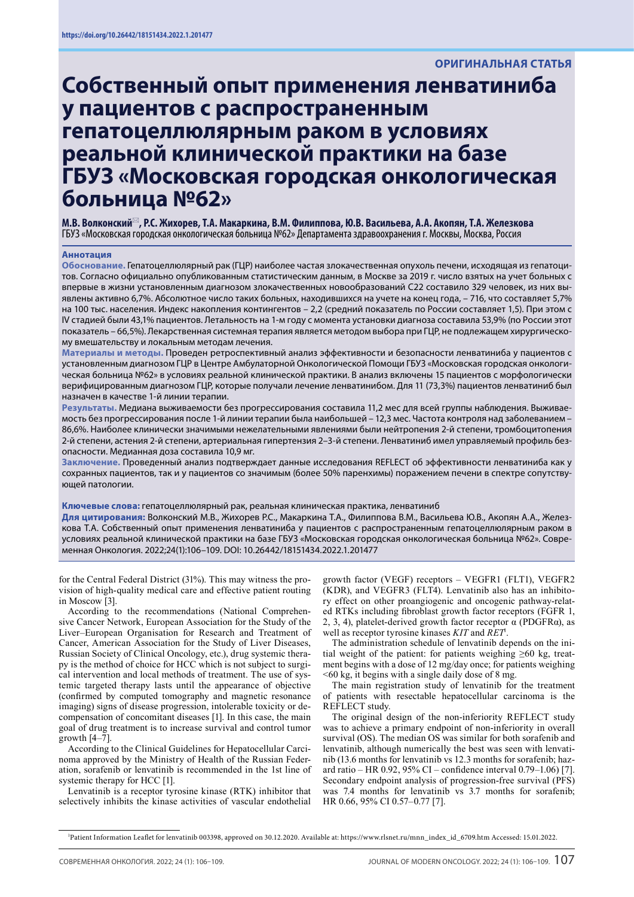# **Собственный опыт применения ленватиниба у пациентов с распространенным гепатоцеллюлярным раком в условиях реальной клинической практики на базе ГБУЗ «Московская городская онкологическая больница №62»**

**М.В. Волконский**\***, Р.С. Жихорев, Т.А. Макаркина, В.М. Филиппова, Ю.В. Васильева, А.А. Акопян, Т.А. Железкова**  ГБУЗ «Московская городская онкологическая больница №62» Департамента здравоохранения г. Москвы, Москва, Россия

#### **Аннотация**

**Обоснование.** Гепатоцеллюлярный рак (ГЦР) наиболее частая злокачественная опухоль печени, исходящая из гепатоцитов. Согласно официально опубликованным статистическим данным, в Москве за 2019 г. число взятых на учет больных с впервые в жизни установленным диагнозом злокачественных новообразований С22 составило 329 человек, из них выявлены активно 6,7%. Абсолютное число таких больных, находившихся на учете на конец года, – 716, что составляет 5,7% на 100 тыс. населения. Индекс накопления контингентов – 2,2 (средний показатель по России составляет 1,5). При этом с IV стадией были 43,1% пациентов. Летальность на 1-м году с момента установки диагноза составила 53,9% (по России этот показатель – 66,5%). Лекарственная системная терапия является методом выбора при ГЦР, не подлежащем хирургическому вмешательству и локальным методам лечения.

**Материалы и методы.** Проведен ретроспективный анализ эффективности и безопасности ленватиниба у пациентов с установленным диагнозом ГЦР в Центре Амбулаторной Онкологической Помощи ГБУЗ «Московская городская онкологическая больница №62» в условиях реальной клинической практики. В анализ включены 15 пациентов с морфологически верифицированным диагнозом ГЦР, которые получали лечение ленватинибом. Для 11 (73,3%) пациентов ленватиниб был назначен в качестве 1-й линии терапии.

**Результаты.** Медиана выживаемости без прогрессирования составила 11,2 мес для всей группы наблюдения. Выживаемость без прогрессирования после 1-й линии терапии была наибольшей – 12,3 мес. Частота контроля над заболеванием – 86,6%. Наиболее клинически значимыми нежелательными явлениями были нейтропения 2-й степени, тромбоцитопения 2-й степени, астения 2-й степени, артериальная гипертензия 2–3-й степени. Ленватиниб имел управляемый профиль безопасности. Медианная доза составила 10,9 мг.

**Заключение.** Проведенный анализ подтверждает данные исследования REFLECT об эффективности ленватиниба как у сохранных пациентов, так и у пациентов со значимым (более 50% паренхимы) поражением печени в спектре сопутствующей патологии.

#### **Ключевые слова:** гепатоцеллюлярный рак, реальная клиническая практика, ленватиниб

**Для цитирования:** Волконский М.В., Жихорев Р.С., Макаркина Т.А., Филиппова В.М., Васильева Ю.В., Акопян А.А., Железкова Т.А. Собственный опыт применения ленватиниба у пациентов с распространенным гепатоцеллюлярным раком в условиях реальной клинической практики на базе ГБУЗ «Московская городская онкологическая больница №62». Современная Онкология. 2022;24(1):106–109. DOI: 10.26442/18151434.2022.1.201477

for the Central Federal District (31%). This may witness the provision of high-quality medical care and effective patient routing in Moscow [3].

According to the recommendations (National Comprehensive Cancer Network, European Association for the Study of the Liver–European Organisation for Research and Treatment of Cancer, American Association for the Study of Liver Diseases, Russian Society of Clinical Oncology, etc.), drug systemic therapy is the method of choice for HCC which is not subject to surgical intervention and local methods of treatment. The use of systemic targeted therapy lasts until the appearance of objective (confirmed by computed tomography and magnetic resonance imaging) signs of disease progression, intolerable toxicity or decompensation of concomitant diseases [1]. In this case, the main goal of drug treatment is to increase survival and control tumor growth [4–7].

According to the Clinical Guidelines for Hepatocellular Carcinoma approved by the Ministry of Health of the Russian Federation, sorafenib or lenvatinib is recommended in the 1st line of systemic therapy for HCC [1].

Lenvatinib is a receptor tyrosine kinase (RTK) inhibitor that selectively inhibits the kinase activities of vascular endothelial

growth factor (VEGF) receptors – VEGFR1 (FLT1), VEGFR2 (KDR), and VEGFR3 (FLT4). Lenvatinib also has an inhibitory effect on other proangiogenic and oncogenic pathway-related RTKs including fibroblast growth factor receptors (FGFR 1, 2, 3, 4), platelet-derived growth factor receptor  $\alpha$  (PDGFR $\alpha$ ), as well as receptor tyrosine kinases *KIT* and *RET*<sup>1</sup> .

The administration schedule of lenvatinib depends on the initial weight of the patient: for patients weighing  $\geq 60$  kg, treatment begins with a dose of 12 mg/day once; for patients weighing <60 kg, it begins with a single daily dose of 8 mg.

The main registration study of lenvatinib for the treatment of patients with resectable hepatocellular carcinoma is the REFLECT study.

The original design of the non-inferiority REFLECT study was to achieve a primary endpoint of non-inferiority in overall survival (OS). The median OS was similar for both sorafenib and lenvatinib, although numerically the best was seen with lenvatinib (13.6 months for lenvatinib vs 12.3 months for sorafenib; hazard ratio – HR 0.92, 95% CI – confidence interval 0.79–1.06) [7]. Secondary endpoint analysis of progression-free survival (PFS) was 7.4 months for lenvatinib vs 3.7 months for sorafenib; HR 0.66, 95% CI 0.57–0.77 [7].

1 Patient Information Leaflet for lenvatinib 003398, approved on 30.12.2020. Available at: https://www.rlsnet.ru/mnn\_index\_id\_6709.htm Accessed: 15.01.2022.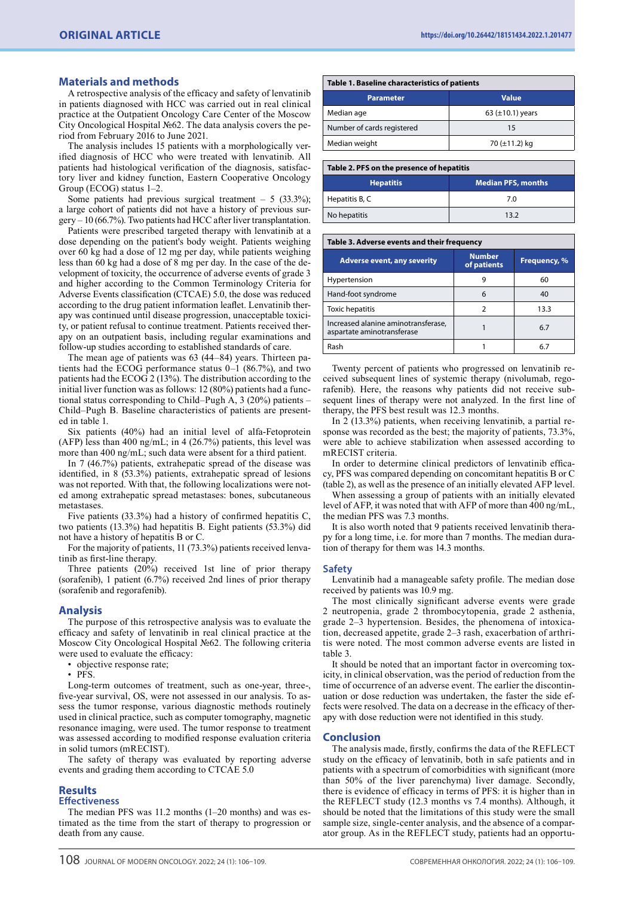#### **Materials and methods**

A retrospective analysis of the efficacy and safety of lenvatinib in patients diagnosed with HCC was carried out in real clinical practice at the Outpatient Oncology Care Center of the Moscow City Oncological Hospital №62. The data analysis covers the period from February 2016 to June 2021.

The analysis includes 15 patients with a morphologically verified diagnosis of HCC who were treated with lenvatinib. All patients had histological verification of the diagnosis, satisfactory liver and kidney function, Eastern Cooperative Oncology Group (ECOG) status 1–2.

Some patients had previous surgical treatment  $-5$  (33.3%); a large cohort of patients did not have a history of previous surgery – 10 (66.7%). Two patients had HCC after liver transplantation.

Patients were prescribed targeted therapy with lenvatinib at a dose depending on the patient's body weight. Patients weighing over 60 kg had a dose of 12 mg per day, while patients weighing less than 60 kg had a dose of 8 mg per day. In the case of the development of toxicity, the occurrence of adverse events of grade 3 and higher according to the Common Terminology Criteria for Adverse Events classification (CTCAE) 5.0, the dose was reduced according to the drug patient information leaflet. Lenvatinib therapy was continued until disease progression, unacceptable toxicity, or patient refusal to continue treatment. Patients received therapy on an outpatient basis, including regular examinations and follow-up studies according to established standards of care.

The mean age of patients was 63 (44–84) years. Thirteen patients had the ECOG performance status 0–1 (86.7%), and two patients had the ECOG 2 (13%). The distribution according to the initial liver function was as follows: 12 (80%) patients had a functional status corresponding to Child–Pugh A, 3 (20%) patients – Child–Pugh B. Baseline characteristics of patients are presented in table 1.

Six patients (40%) had an initial level of alfa-Fetoprotein (AFP) less than 400 ng/mL; in 4 (26.7%) patients, this level was more than 400 ng/mL; such data were absent for a third patient.

In 7 (46.7%) patients, extrahepatic spread of the disease was identified, in 8 (53.3%) patients, extrahepatic spread of lesions was not reported. With that, the following localizations were noted among extrahepatic spread metastases: bones, subcutaneous metastases.

Five patients (33.3%) had a history of confirmed hepatitis C, two patients (13.3%) had hepatitis B. Eight patients (53.3%) did not have a history of hepatitis B or C.

For the majority of patients, 11 (73.3%) patients received lenvatinib as first-line therapy.

Three patients (20%) received 1st line of prior therapy (sorafenib), 1 patient (6.7%) received 2nd lines of prior therapy (sorafenib and regorafenib).

#### **Analysis**

The purpose of this retrospective analysis was to evaluate the efficacy and safety of lenvatinib in real clinical practice at the Moscow City Oncological Hospital №62. The following criteria were used to evaluate the efficacy:

• objective response rate;

• PFS.

Long-term outcomes of treatment, such as one-year, three-, five-year survival, OS, were not assessed in our analysis. To assess the tumor response, various diagnostic methods routinely used in clinical practice, such as computer tomography, magnetic resonance imaging, were used. The tumor response to treatment was assessed according to modified response evaluation criteria in solid tumors (mRECIST).

The safety of therapy was evaluated by reporting adverse events and grading them according to CTCAE 5.0

#### **Results**

### **Effectiveness**

The median PFS was 11.2 months (1–20 months) and was estimated as the time from the start of therapy to progression or death from any cause.

| Table 1. Baseline characteristics of patients |  |  |
|-----------------------------------------------|--|--|
| <b>Value</b>                                  |  |  |
| 63 ( $\pm$ 10.1) years                        |  |  |
| 15                                            |  |  |
| 70 (±11.2) kg                                 |  |  |
|                                               |  |  |

| Table 2. PFS on the presence of hepatitis |                           |  |
|-------------------------------------------|---------------------------|--|
| <b>Hepatitis</b>                          | <b>Median PFS, months</b> |  |
| Hepatitis B, C                            | 7.0                       |  |
| No hepatitis                              | 13.2                      |  |

#### **Table 3. Adverse events and their frequency**

| <b>Adverse event, any severity</b>                                | <b>Number</b><br>of patients | Frequency, % |
|-------------------------------------------------------------------|------------------------------|--------------|
| Hypertension                                                      |                              | 60           |
| Hand-foot syndrome                                                |                              | 40           |
| <b>Toxic hepatitis</b>                                            |                              | 13.3         |
| Increased alanine aminotransferase,<br>aspartate aminotransferase |                              | 6.7          |
| Rash                                                              |                              |              |

Twenty percent of patients who progressed on lenvatinib received subsequent lines of systemic therapy (nivolumab, regorafenib). Here, the reasons why patients did not receive subsequent lines of therapy were not analyzed. In the first line of therapy, the PFS best result was 12.3 months.

In 2 (13.3%) patients, when receiving lenvatinib, a partial response was recorded as the best; the majority of patients, 73.3%, were able to achieve stabilization when assessed according to mRECIST criteria.

In order to determine clinical predictors of lenvatinib efficacy, PFS was compared depending on concomitant hepatitis B or C (table 2), as well as the presence of an initially elevated AFP level.

When assessing a group of patients with an initially elevated level of AFP, it was noted that with AFP of more than 400 ng/mL, the median PFS was 7.3 months.

It is also worth noted that 9 patients received lenvatinib therapy for a long time, i.e. for more than 7 months. The median duration of therapy for them was 14.3 months.

#### **Safety**

Lenvatinib had a manageable safety profile. The median dose received by patients was 10.9 mg.

The most clinically significant adverse events were grade 2 neutropenia, grade 2 thrombocytopenia, grade 2 asthenia, grade 2–3 hypertension. Besides, the phenomena of intoxication, decreased appetite, grade 2–3 rash, exacerbation of arthritis were noted. The most common adverse events are listed in table 3.

It should be noted that an important factor in overcoming toxicity, in clinical observation, was the period of reduction from the time of occurrence of an adverse event. The earlier the discontinuation or dose reduction was undertaken, the faster the side effects were resolved. The data on a decrease in the efficacy of therapy with dose reduction were not identified in this study.

### **Conclusion**

The analysis made, firstly, confirms the data of the REFLECT study on the efficacy of lenvatinib, both in safe patients and in patients with a spectrum of comorbidities with significant (more than 50% of the liver parenchyma) liver damage. Secondly, there is evidence of efficacy in terms of PFS: it is higher than in the REFLECT study (12.3 months vs 7.4 months). Although, it should be noted that the limitations of this study were the small sample size, single-center analysis, and the absence of a comparator group. As in the REFLECT study, patients had an opportu